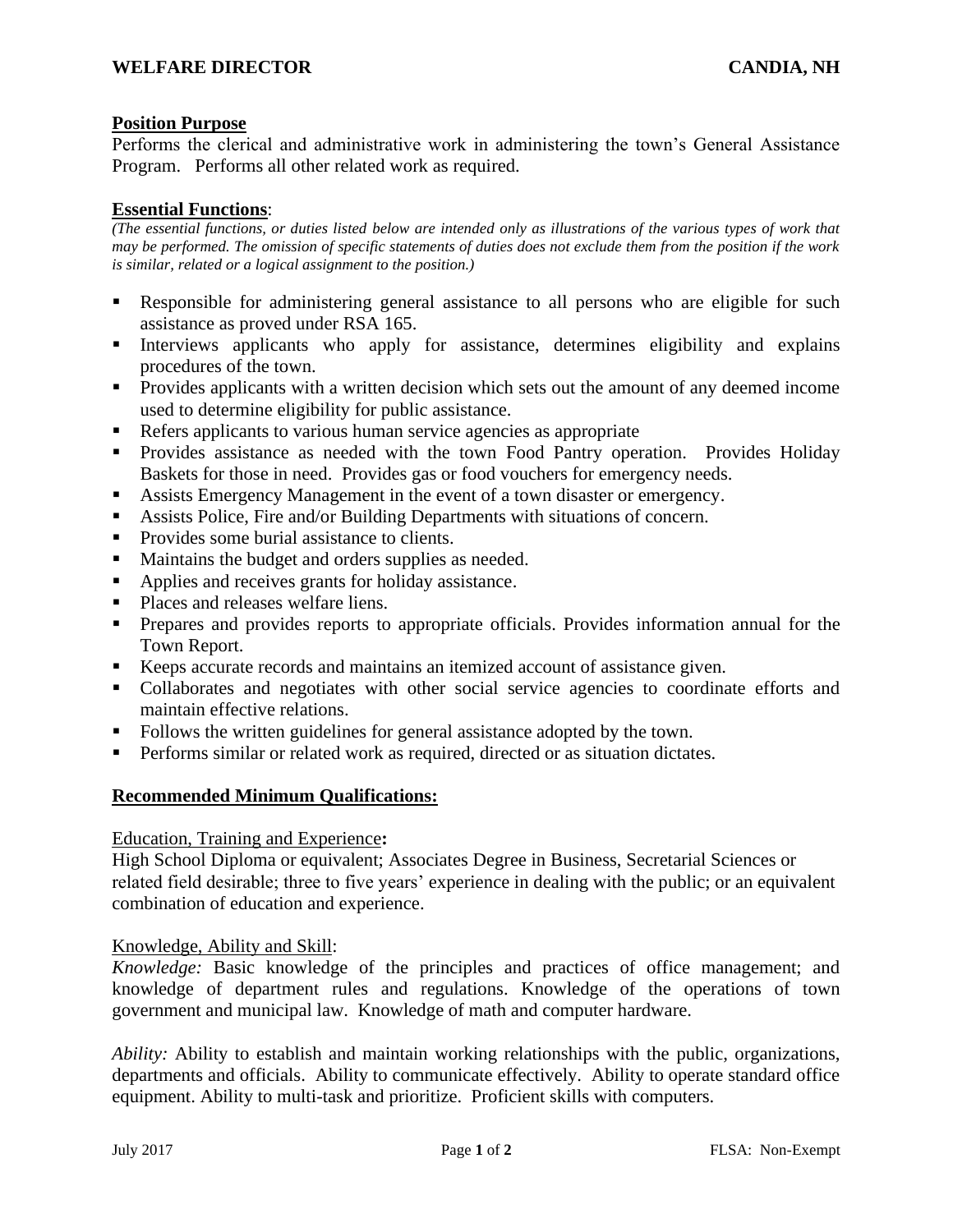# **Position Purpose**

Performs the clerical and administrative work in administering the town's General Assistance Program. Performs all other related work as required.

# **Essential Functions**:

*(The essential functions, or duties listed below are intended only as illustrations of the various types of work that may be performed. The omission of specific statements of duties does not exclude them from the position if the work is similar, related or a logical assignment to the position.)*

- Responsible for administering general assistance to all persons who are eligible for such assistance as proved under RSA 165.
- Interviews applicants who apply for assistance, determines eligibility and explains procedures of the town.
- Provides applicants with a written decision which sets out the amount of any deemed income used to determine eligibility for public assistance.
- Refers applicants to various human service agencies as appropriate
- **•** Provides assistance as needed with the town Food Pantry operation. Provides Holiday Baskets for those in need. Provides gas or food vouchers for emergency needs.
- Assists Emergency Management in the event of a town disaster or emergency.
- Assists Police, Fire and/or Building Departments with situations of concern.
- Provides some burial assistance to clients.
- Maintains the budget and orders supplies as needed.
- Applies and receives grants for holiday assistance.
- Places and releases welfare liens.
- **•** Prepares and provides reports to appropriate officials. Provides information annual for the Town Report.
- Keeps accurate records and maintains an itemized account of assistance given.
- Collaborates and negotiates with other social service agencies to coordinate efforts and maintain effective relations.
- Follows the written guidelines for general assistance adopted by the town.
- **•** Performs similar or related work as required, directed or as situation dictates.

## **Recommended Minimum Qualifications:**

## Education, Training and Experience**:**

High School Diploma or equivalent; Associates Degree in Business, Secretarial Sciences or related field desirable; three to five years' experience in dealing with the public; or an equivalent combination of education and experience.

## Knowledge, Ability and Skill:

*Knowledge:* Basic knowledge of the principles and practices of office management; and knowledge of department rules and regulations. Knowledge of the operations of town government and municipal law. Knowledge of math and computer hardware.

*Ability:* Ability to establish and maintain working relationships with the public, organizations, departments and officials. Ability to communicate effectively. Ability to operate standard office equipment. Ability to multi-task and prioritize. Proficient skills with computers.